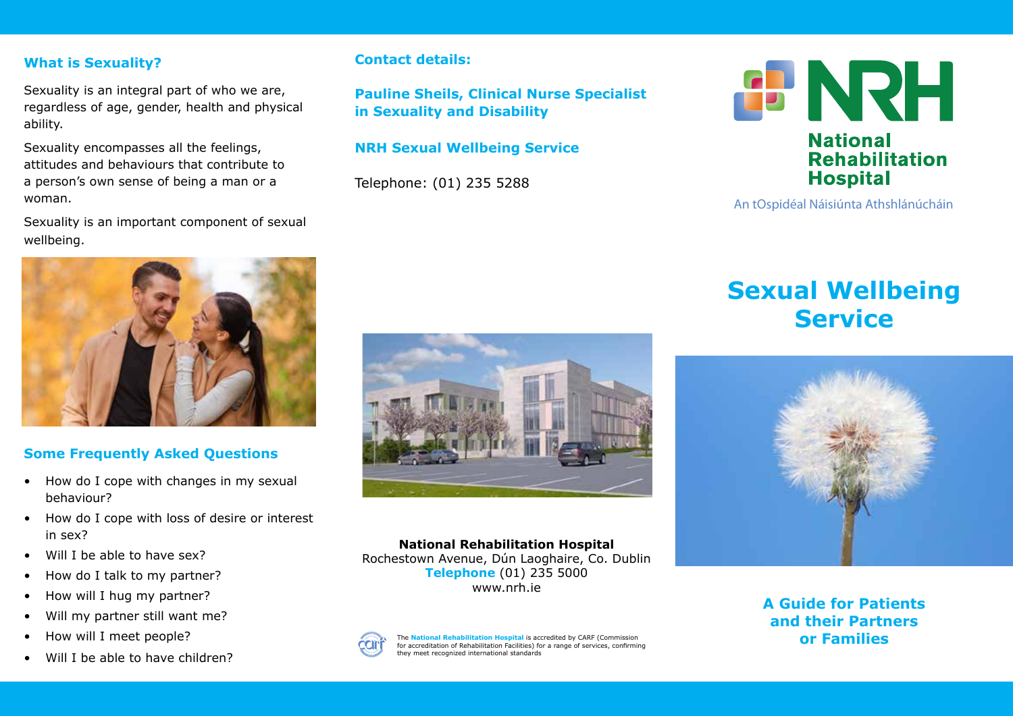### **What is Sexuality?**

Sexuality is an integral part of who we are, regardless of age, gender, health and physical ability.

Sexuality encompasses all the feelings, attitudes and behaviours that contribute to a person's own sense of being a man or a woman.

Sexuality is an important component of sexual wellbeing.

### **Contact details:**

**Pauline Sheils, Clinical Nurse Specialist in Sexuality and Disability** 

#### **NRH Sexual Wellbeing Service**

Telephone: (01) 235 5288



#### An tOspidéal Náisiúnta Athshlánúcháin

# **Sexual Wellbeing Service**



# **A Guide for Patients and their Partners or Families**



# **Some Frequently Asked Questions**

- How do I cope with changes in my sexual behaviour?
- How do I cope with loss of desire or interest in sex?
- Will I be able to have sex?
- How do I talk to my partner?
- How will I hug my partner?
- Will my partner still want me?
- How will I meet people?
- Will I be able to have children?





The **National Rehabilitation Hospital** is accredited by CARF (Commission for accreditation of Rehabilitation Facilities) for a range of services, confirming they meet recognized international standards